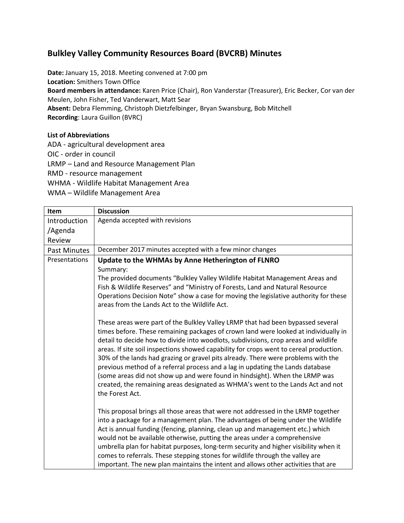## **Bulkley Valley Community Resources Board (BVCRB) Minutes**

**Date:** January 15, 2018. Meeting convened at 7:00 pm **Location:** Smithers Town Office **Board members in attendance:** Karen Price (Chair), Ron Vanderstar (Treasurer), Eric Becker, Cor van der Meulen, John Fisher, Ted Vanderwart, Matt Sear **Absent:** Debra Flemming, Christoph Dietzfelbinger, Bryan Swansburg, Bob Mitchell **Recording**: Laura Guillon (BVRC)

### **List of Abbreviations**

ADA - agricultural development area OIC - order in council LRMP – Land and Resource Management Plan RMD - resource management WHMA - Wildlife Habitat Management Area WMA – Wildlife Management Area

| Item                | <b>Discussion</b>                                                                                                                                                                                                                                                                                                                                                                                                                                                                                                                                                                                                                                                                                                                                                                                                                                                                                                                                                                                                                                                                                                                                                                                                                                                                                                                                                                                                                     |  |  |
|---------------------|---------------------------------------------------------------------------------------------------------------------------------------------------------------------------------------------------------------------------------------------------------------------------------------------------------------------------------------------------------------------------------------------------------------------------------------------------------------------------------------------------------------------------------------------------------------------------------------------------------------------------------------------------------------------------------------------------------------------------------------------------------------------------------------------------------------------------------------------------------------------------------------------------------------------------------------------------------------------------------------------------------------------------------------------------------------------------------------------------------------------------------------------------------------------------------------------------------------------------------------------------------------------------------------------------------------------------------------------------------------------------------------------------------------------------------------|--|--|
| Introduction        | Agenda accepted with revisions                                                                                                                                                                                                                                                                                                                                                                                                                                                                                                                                                                                                                                                                                                                                                                                                                                                                                                                                                                                                                                                                                                                                                                                                                                                                                                                                                                                                        |  |  |
| /Agenda             |                                                                                                                                                                                                                                                                                                                                                                                                                                                                                                                                                                                                                                                                                                                                                                                                                                                                                                                                                                                                                                                                                                                                                                                                                                                                                                                                                                                                                                       |  |  |
| Review              |                                                                                                                                                                                                                                                                                                                                                                                                                                                                                                                                                                                                                                                                                                                                                                                                                                                                                                                                                                                                                                                                                                                                                                                                                                                                                                                                                                                                                                       |  |  |
| <b>Past Minutes</b> | December 2017 minutes accepted with a few minor changes                                                                                                                                                                                                                                                                                                                                                                                                                                                                                                                                                                                                                                                                                                                                                                                                                                                                                                                                                                                                                                                                                                                                                                                                                                                                                                                                                                               |  |  |
| Presentations       | Update to the WHMAs by Anne Hetherington of FLNRO<br>Summary:<br>The provided documents "Bulkley Valley Wildlife Habitat Management Areas and<br>Fish & Wildlife Reserves" and "Ministry of Forests, Land and Natural Resource<br>Operations Decision Note" show a case for moving the legislative authority for these<br>areas from the Lands Act to the Wildlife Act.<br>These areas were part of the Bulkley Valley LRMP that had been bypassed several<br>times before. These remaining packages of crown land were looked at individually in<br>detail to decide how to divide into woodlots, subdivisions, crop areas and wildlife<br>areas. If site soil inspections showed capability for crops went to cereal production.<br>30% of the lands had grazing or gravel pits already. There were problems with the<br>previous method of a referral process and a lag in updating the Lands database<br>(some areas did not show up and were found in hindsight). When the LRMP was<br>created, the remaining areas designated as WHMA's went to the Lands Act and not<br>the Forest Act.<br>This proposal brings all those areas that were not addressed in the LRMP together<br>into a package for a management plan. The advantages of being under the Wildlife<br>Act is annual funding (fencing, planning, clean up and management etc.) which<br>would not be available otherwise, putting the areas under a comprehensive |  |  |
|                     | umbrella plan for habitat purposes, long-term security and higher visibility when it<br>comes to referrals. These stepping stones for wildlife through the valley are<br>important. The new plan maintains the intent and allows other activities that are                                                                                                                                                                                                                                                                                                                                                                                                                                                                                                                                                                                                                                                                                                                                                                                                                                                                                                                                                                                                                                                                                                                                                                            |  |  |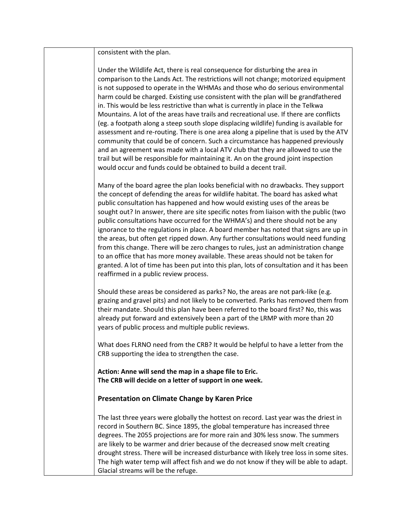consistent with the plan.

Under the Wildlife Act, there is real consequence for disturbing the area in comparison to the Lands Act. The restrictions will not change; motorized equipment is not supposed to operate in the WHMAs and those who do serious environmental harm could be charged. Existing use consistent with the plan will be grandfathered in. This would be less restrictive than what is currently in place in the Telkwa Mountains. A lot of the areas have trails and recreational use. If there are conflicts (eg. a footpath along a steep south slope displacing wildlife) funding is available for assessment and re-routing. There is one area along a pipeline that is used by the ATV community that could be of concern. Such a circumstance has happened previously and an agreement was made with a local ATV club that they are allowed to use the trail but will be responsible for maintaining it. An on the ground joint inspection would occur and funds could be obtained to build a decent trail.

Many of the board agree the plan looks beneficial with no drawbacks. They support the concept of defending the areas for wildlife habitat. The board has asked what public consultation has happened and how would existing uses of the areas be sought out? In answer, there are site specific notes from liaison with the public (two public consultations have occurred for the WHMA's) and there should not be any ignorance to the regulations in place. A board member has noted that signs are up in the areas, but often get ripped down. Any further consultations would need funding from this change. There will be zero changes to rules, just an administration change to an office that has more money available. These areas should not be taken for granted. A lot of time has been put into this plan, lots of consultation and it has been reaffirmed in a public review process.

Should these areas be considered as parks? No, the areas are not park-like (e.g. grazing and gravel pits) and not likely to be converted. Parks has removed them from their mandate. Should this plan have been referred to the board first? No, this was already put forward and extensively been a part of the LRMP with more than 20 years of public process and multiple public reviews.

What does FLRNO need from the CRB? It would be helpful to have a letter from the CRB supporting the idea to strengthen the case.

**Action: Anne will send the map in a shape file to Eric. The CRB will decide on a letter of support in one week.**

#### **Presentation on Climate Change by Karen Price**

The last three years were globally the hottest on record. Last year was the driest in record in Southern BC. Since 1895, the global temperature has increased three degrees. The 2055 projections are for more rain and 30% less snow. The summers are likely to be warmer and drier because of the decreased snow melt creating drought stress. There will be increased disturbance with likely tree loss in some sites. The high water temp will affect fish and we do not know if they will be able to adapt. Glacial streams will be the refuge.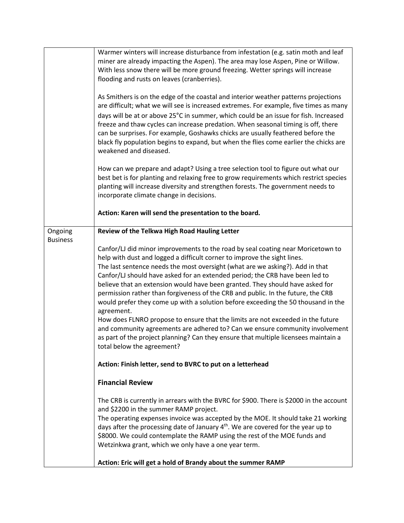|                            | Warmer winters will increase disturbance from infestation (e.g. satin moth and leaf<br>miner are already impacting the Aspen). The area may lose Aspen, Pine or Willow.<br>With less snow there will be more ground freezing. Wetter springs will increase<br>flooding and rusts on leaves (cranberries).<br>As Smithers is on the edge of the coastal and interior weather patterns projections<br>are difficult; what we will see is increased extremes. For example, five times as many<br>days will be at or above 25°C in summer, which could be an issue for fish. Increased<br>freeze and thaw cycles can increase predation. When seasonal timing is off, there<br>can be surprises. For example, Goshawks chicks are usually feathered before the<br>black fly population begins to expand, but when the flies come earlier the chicks are<br>weakened and diseased.                |
|----------------------------|----------------------------------------------------------------------------------------------------------------------------------------------------------------------------------------------------------------------------------------------------------------------------------------------------------------------------------------------------------------------------------------------------------------------------------------------------------------------------------------------------------------------------------------------------------------------------------------------------------------------------------------------------------------------------------------------------------------------------------------------------------------------------------------------------------------------------------------------------------------------------------------------|
|                            | How can we prepare and adapt? Using a tree selection tool to figure out what our<br>best bet is for planting and relaxing free to grow requirements which restrict species<br>planting will increase diversity and strengthen forests. The government needs to<br>incorporate climate change in decisions.                                                                                                                                                                                                                                                                                                                                                                                                                                                                                                                                                                                   |
|                            | Action: Karen will send the presentation to the board.                                                                                                                                                                                                                                                                                                                                                                                                                                                                                                                                                                                                                                                                                                                                                                                                                                       |
| Ongoing<br><b>Business</b> | Review of the Telkwa High Road Hauling Letter                                                                                                                                                                                                                                                                                                                                                                                                                                                                                                                                                                                                                                                                                                                                                                                                                                                |
|                            | Canfor/LJ did minor improvements to the road by seal coating near Moricetown to<br>help with dust and logged a difficult corner to improve the sight lines.<br>The last sentence needs the most oversight (what are we asking?). Add in that<br>Canfor/LJ should have asked for an extended period; the CRB have been led to<br>believe that an extension would have been granted. They should have asked for<br>permission rather than forgiveness of the CRB and public. In the future, the CRB<br>would prefer they come up with a solution before exceeding the 50 thousand in the<br>agreement.<br>How does FLNRO propose to ensure that the limits are not exceeded in the future<br>and community agreements are adhered to? Can we ensure community involvement<br>as part of the project planning? Can they ensure that multiple licensees maintain a<br>total below the agreement? |
|                            | Action: Finish letter, send to BVRC to put on a letterhead                                                                                                                                                                                                                                                                                                                                                                                                                                                                                                                                                                                                                                                                                                                                                                                                                                   |
|                            | <b>Financial Review</b>                                                                                                                                                                                                                                                                                                                                                                                                                                                                                                                                                                                                                                                                                                                                                                                                                                                                      |
|                            | The CRB is currently in arrears with the BVRC for \$900. There is \$2000 in the account<br>and \$2200 in the summer RAMP project.<br>The operating expenses invoice was accepted by the MOE. It should take 21 working<br>days after the processing date of January 4 <sup>th</sup> . We are covered for the year up to<br>\$8000. We could contemplate the RAMP using the rest of the MOE funds and<br>Wetzinkwa grant, which we only have a one year term.<br>Action: Eric will get a hold of Brandy about the summer RAMP                                                                                                                                                                                                                                                                                                                                                                 |